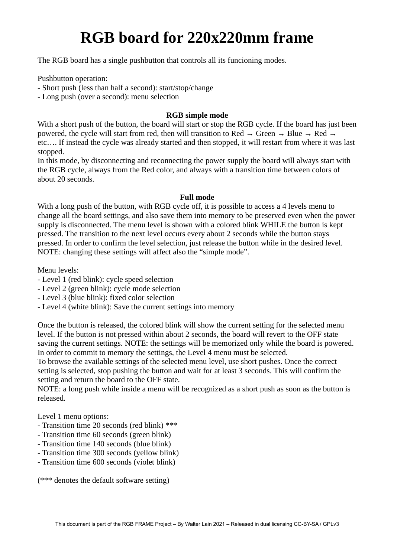## **RGB board for 220x220mm frame**

The RGB board has a single pushbutton that controls all its funcioning modes.

Pushbutton operation:

- Short push (less than half a second): start/stop/change

- Long push (over a second): menu selection

## **RGB simple mode**

With a short push of the button, the board will start or stop the RGB cycle. If the board has just been powered, the cycle will start from red, then will transition to Red  $\rightarrow$  Green  $\rightarrow$  Blue  $\rightarrow$  Red  $\rightarrow$ etc…. If instead the cycle was already started and then stopped, it will restart from where it was last stopped.

In this mode, by disconnecting and reconnecting the power supply the board will always start with the RGB cycle, always from the Red color, and always with a transition time between colors of about 20 seconds.

## **Full mode**

With a long push of the button, with RGB cycle off, it is possible to access a 4 levels menu to change all the board settings, and also save them into memory to be preserved even when the power supply is disconnected. The menu level is shown with a colored blink WHILE the button is kept pressed. The transition to the next level occurs every about 2 seconds while the button stays pressed. In order to confirm the level selection, just release the button while in the desired level. NOTE: changing these settings will affect also the "simple mode".

Menu levels:

- Level 1 (red blink): cycle speed selection
- Level 2 (green blink): cycle mode selection
- Level 3 (blue blink): fixed color selection
- Level 4 (white blink): Save the current settings into memory

Once the button is released, the colored blink will show the current setting for the selected menu level. If the button is not pressed within about 2 seconds, the board will revert to the OFF state saving the current settings. NOTE: the settings will be memorized only while the board is powered. In order to commit to memory the settings, the Level 4 menu must be selected.

To browse the available settings of the selected menu level, use short pushes. Once the correct setting is selected, stop pushing the button and wait for at least 3 seconds. This will confirm the setting and return the board to the OFF state.

NOTE: a long push while inside a menu will be recognized as a short push as soon as the button is released.

Level 1 menu options:

- Transition time 20 seconds (red blink) \*\*\*
- Transition time 60 seconds (green blink)
- Transition time 140 seconds (blue blink)
- Transition time 300 seconds (yellow blink)
- Transition time 600 seconds (violet blink)

(\*\*\* denotes the default software setting)